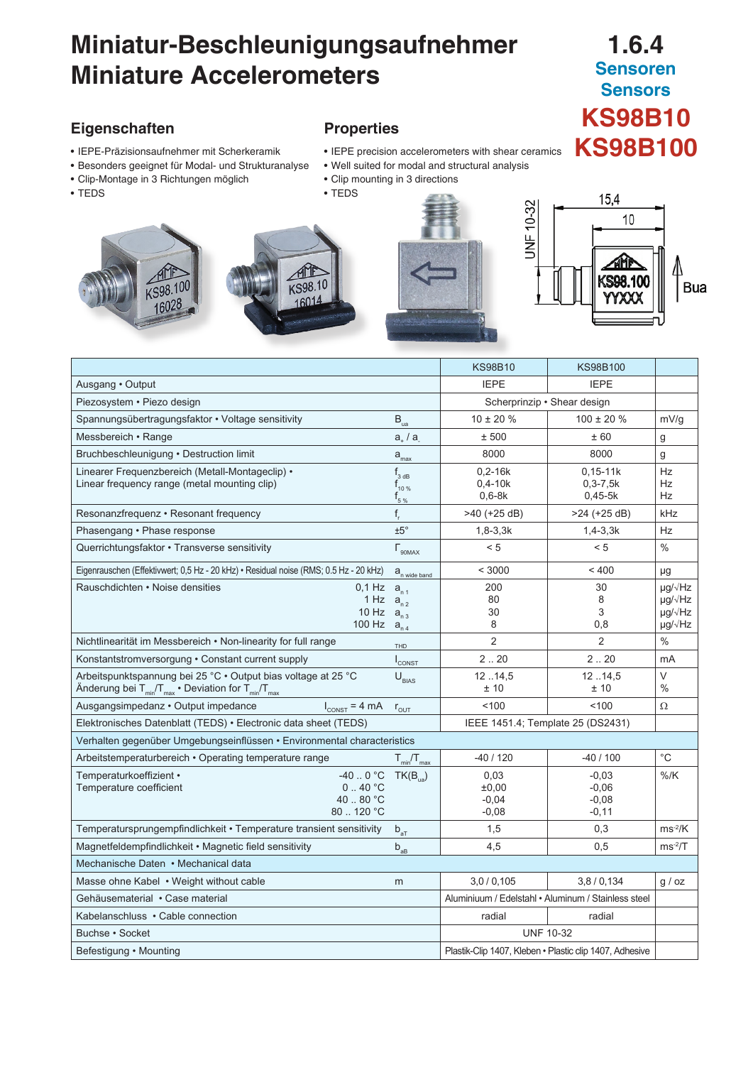# **Miniatur-Beschleunigungsaufnehmer Miniature Accelerometers**

# **1.6.4 Sensoren Sensors KS98B10 Properties**<br>• IEPE precision accelerometers with shear ceramics KS98B100

## **Eigenschaften**

- IEPE-Präzisionsaufnehmer mit Scherkeramik
- Besonders geeignet für Modal- und Strukturanalyse
- Clip-Montage in 3 Richtungen möglich
- TEDS



- 
- Well suited for modal and structural analysis
- Clip mounting in 3 directions
- TEDS









|                                                                                                                                                                     |                                               | <b>KS98B10</b>                                          | KS98B100                                     |                                                                                             |  |
|---------------------------------------------------------------------------------------------------------------------------------------------------------------------|-----------------------------------------------|---------------------------------------------------------|----------------------------------------------|---------------------------------------------------------------------------------------------|--|
| Ausgang • Output                                                                                                                                                    |                                               | <b>IEPE</b>                                             | <b>IEPE</b>                                  |                                                                                             |  |
| Piezosystem • Piezo design                                                                                                                                          |                                               | Scherprinzip • Shear design                             |                                              |                                                                                             |  |
| Spannungsübertragungsfaktor • Voltage sensitivity                                                                                                                   | $B_{\rm ua}$                                  | $10 \pm 20 \%$                                          | $100 \pm 20 \%$                              | mV/g                                                                                        |  |
| Messbereich • Range                                                                                                                                                 | $a_{\perp}/a$                                 | ± 500                                                   | ±60                                          | g                                                                                           |  |
| Bruchbeschleunigung · Destruction limit                                                                                                                             | $a_{\text{max}}$                              | 8000                                                    | 8000                                         | g                                                                                           |  |
| Linearer Frequenzbereich (Metall-Montageclip) •<br>Linear frequency range (metal mounting clip)                                                                     | $f_{3 dB}$<br>$f_{10\%}$<br>$f_{5\%}$         | $0,2-16k$<br>$0,4-10k$<br>$0,6-8k$                      | $0, 15 - 11k$<br>$0, 3 - 7, 5k$<br>$0,45-5k$ | <b>Hz</b><br>Hz<br><b>Hz</b>                                                                |  |
| Resonanzfrequenz · Resonant frequency                                                                                                                               | $f_r$                                         | $>40$ (+25 dB)                                          | >24 (+25 dB)                                 | kHz                                                                                         |  |
| Phasengang • Phase response                                                                                                                                         | $±5^\circ$                                    | $1,8-3,3k$                                              | $1,4-3,3k$                                   | <b>Hz</b>                                                                                   |  |
| Querrichtungsfaktor · Transverse sensitivity                                                                                                                        | $\Gamma_{\text{90MAX}}$                       | < 5                                                     | < 5                                          | $\%$                                                                                        |  |
| Eigenrauschen (Effektivwert; 0,5 Hz - 20 kHz) • Residual noise (RMS; 0.5 Hz - 20 kHz)                                                                               | $a_{n \text{ wide band}}$                     | < 3000                                                  | ~100                                         | μg                                                                                          |  |
| Rauschdichten • Noise densities<br>$0,1$ Hz<br>1 Hz<br>$10$ Hz<br>100 Hz                                                                                            | $a_{n,1}$<br>$a_{n2}$<br>$a_{n3}$<br>$a_{n4}$ | 200<br>80<br>30<br>8                                    | 30<br>8<br>3<br>0,8                          | $\mu$ g/ $\sqrt{Hz}$<br>$\mu$ g/ $\sqrt{Hz}$<br>$\mu q / \sqrt{Hz}$<br>$\mu$ g/ $\sqrt{Hz}$ |  |
| Nichtlinearität im Messbereich • Non-linearity for full range                                                                                                       | THD                                           | $\overline{2}$                                          | $\overline{2}$                               | $\%$                                                                                        |  |
| Konstantstromversorgung • Constant current supply                                                                                                                   | $I_{\text{CONST}}$                            | 2.20                                                    | 2.20                                         | mA                                                                                          |  |
| Arbeitspunktspannung bei 25 °C · Output bias voltage at 25 °C<br>Änderung bei T <sub>min</sub> /T <sub>max</sub> • Deviation for T <sub>min</sub> /T <sub>max</sub> | $U_{\text{BIAS}}$                             | 1214.5<br>±10                                           | 1214.5<br>±10                                | $\vee$<br>$\%$                                                                              |  |
| Ausgangsimpedanz • Output impedance<br>$I_{\text{CONST}} = 4 \text{ mA}$                                                                                            | $r_{\text{OUT}}$                              | 100                                                     | 100                                          | $\Omega$                                                                                    |  |
| Elektronisches Datenblatt (TEDS) • Electronic data sheet (TEDS)                                                                                                     |                                               | IEEE 1451.4; Template 25 (DS2431)                       |                                              |                                                                                             |  |
| Verhalten gegenüber Umgebungseinflüssen · Environmental characteristics                                                                                             |                                               |                                                         |                                              |                                                                                             |  |
| Arbeitstemperaturbereich · Operating temperature range                                                                                                              | $T_{min}/T_{max}$                             | -40 / 120                                               | $-40/100$                                    | $^{\circ}$ C                                                                                |  |
| -40 $\ldots$ 0 °C<br>Temperaturkoeffizient •<br>$0.40\degree$ C<br>Temperature coefficient<br>40 80 °C<br>80  120 °C                                                | $TK(B_{\text{ua}})$                           | 0,03<br>±0,00<br>$-0,04$<br>$-0,08$                     | $-0.03$<br>$-0.06$<br>$-0,08$<br>$-0,11$     | $%$ /K                                                                                      |  |
| Temperatursprungempfindlichkeit • Temperature transient sensitivity                                                                                                 | $b_{aT}$                                      | 1,5                                                     | 0,3                                          | $ms-2/K$                                                                                    |  |
| Magnetfeldempfindlichkeit • Magnetic field sensitivity                                                                                                              | $\mathsf{b}_{\mathsf{a}\mathsf{B}}$           | 4,5                                                     | 0,5                                          | $ms-2/T$                                                                                    |  |
| Mechanische Daten • Mechanical data                                                                                                                                 |                                               |                                                         |                                              |                                                                                             |  |
| Masse ohne Kabel • Weight without cable                                                                                                                             | m                                             | 3,0/0,105                                               | 3,8/0,134                                    | g / oz                                                                                      |  |
| Gehäusematerial • Case material                                                                                                                                     |                                               | Aluminiuum / Edelstahl · Aluminum / Stainless steel     |                                              |                                                                                             |  |
| Kabelanschluss • Cable connection                                                                                                                                   |                                               | radial                                                  | radial                                       |                                                                                             |  |
| <b>UNF 10-32</b><br>Buchse · Socket                                                                                                                                 |                                               |                                                         |                                              |                                                                                             |  |
| Befestigung · Mounting                                                                                                                                              |                                               | Plastik-Clip 1407, Kleben • Plastic clip 1407, Adhesive |                                              |                                                                                             |  |